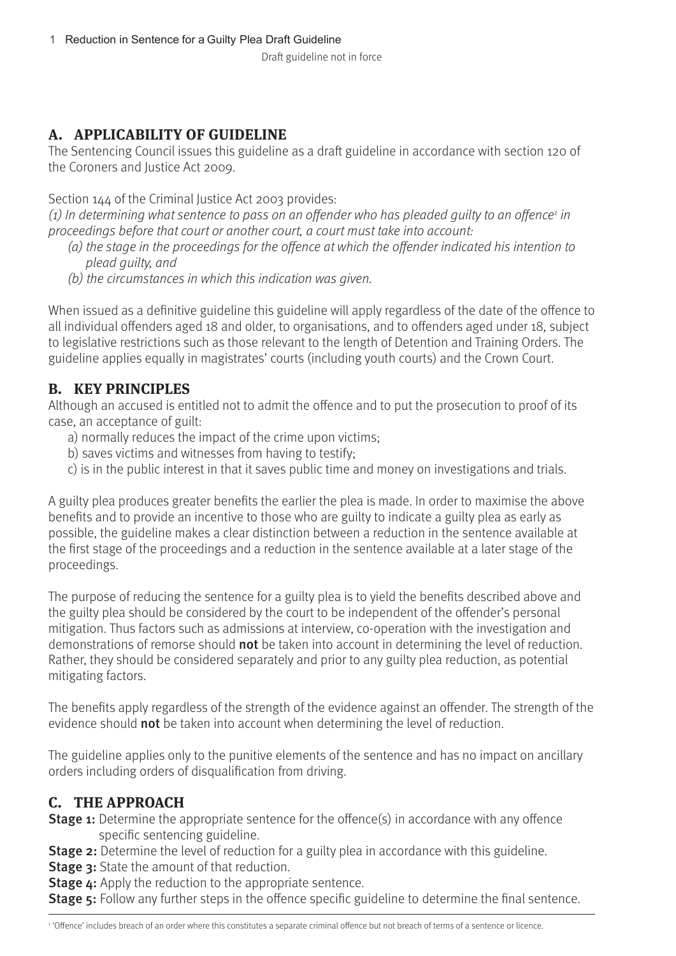## **A. APPLICABILITY OF GUIDELINE**

The Sentencing Council issues this guideline as a draft guideline in accordance with section 120 of the Coroners and Justice Act 2009.

Section 144 of the Criminal Justice Act 2003 provides:

 $(1)$  In determining what sentence to pass on an offender who has pleaded guilty to an offence<sup>1</sup> in proceedings before that court or another court, a court must take into account:

- (a) the stage in the proceedings for the offence at which the offender indicated his intention to plead guilty, and
- (b) the circumstances in which this indication was given.

When issued as a definitive guideline this guideline will apply regardless of the date of the offence to all individual offenders aged 18 and older, to organisations, and to offenders aged under 18, subject to legislative restrictions such as those relevant to the length of Detention and Training Orders. The guideline applies equally in magistrates' courts (including youth courts) and the Crown Court.

## **B. KEY PRINCIPLES**

Although an accused is entitled not to admit the offence and to put the prosecution to proof of its case, an acceptance of guilt:

- a) normally reduces the impact of the crime upon victims;
- b) saves victims and witnesses from having to testify;
- c) is in the public interest in that it saves public time and money on investigations and trials.

A guilty plea produces greater benefits the earlier the plea is made. In order to maximise the above benefits and to provide an incentive to those who are guilty to indicate a guilty plea as early as possible, the guideline makes a clear distinction between a reduction in the sentence available at the first stage of the proceedings and a reduction in the sentence available at a later stage of the proceedings.

The purpose of reducing the sentence for a guilty plea is to yield the benefits described above and the guilty plea should be considered by the court to be independent of the offender's personal mitigation. Thus factors such as admissions at interview, co-operation with the investigation and demonstrations of remorse should **not** be taken into account in determining the level of reduction. Rather, they should be considered separately and prior to any guilty plea reduction, as potential mitigating factors.

The benefits apply regardless of the strength of the evidence against an offender. The strength of the evidence should not be taken into account when determining the level of reduction.

The guideline applies only to the punitive elements of the sentence and has no impact on ancillary orders including orders of disqualification from driving.

## **C. THE APPROACH**

**Stage 1:** Determine the appropriate sentence for the offence(s) in accordance with any offence specific sentencing guideline.

**Stage 2:** Determine the level of reduction for a guilty plea in accordance with this guideline. Stage 3: State the amount of that reduction.

Stage 4: Apply the reduction to the appropriate sentence.

**Stage 5:** Follow any further steps in the offence specific guideline to determine the final sentence.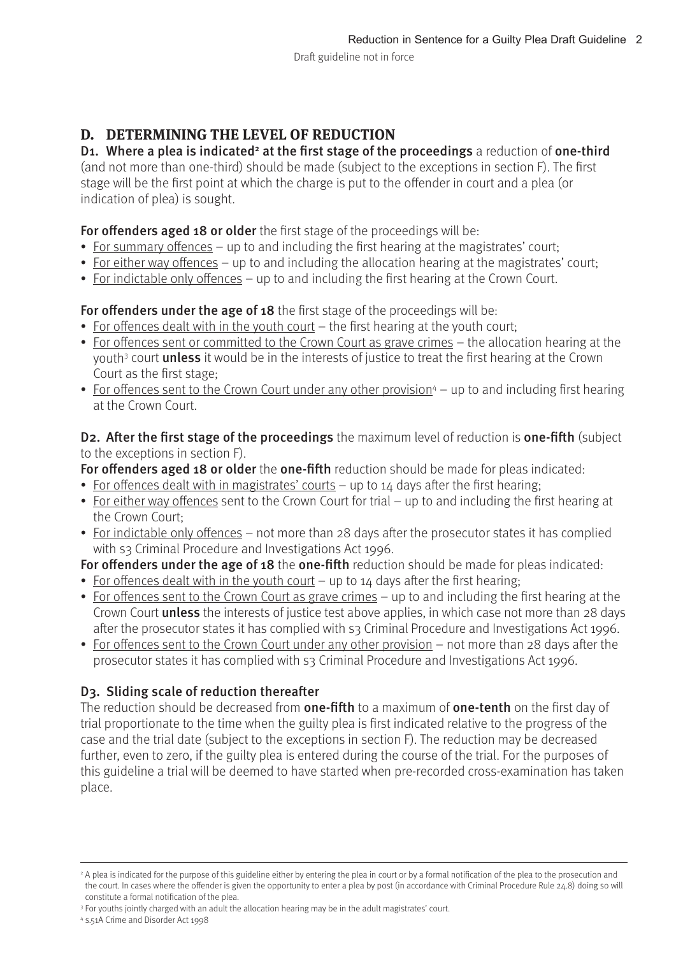# **D. DETERMINING THE LEVEL OF REDUCTION**

#### D1. Where a plea is indicated<sup>2</sup> at the first stage of the proceedings a reduction of one-third

(and not more than one-third) should be made (subject to the exceptions in section F). The first stage will be the first point at which the charge is put to the offender in court and a plea (or indication of plea) is sought.

For offenders aged 18 or older the first stage of the proceedings will be:

- For summary offences up to and including the first hearing at the magistrates' court;
- For either way offences up to and including the allocation hearing at the magistrates' court;
- For indictable only offences up to and including the first hearing at the Crown Court.

For offenders under the age of 18 the first stage of the proceedings will be:

- For offences dealt with in the youth court the first hearing at the youth court;
- For offences sent or committed to the Crown Court as grave crimes the allocation hearing at the youth<sup>3</sup> court **unless** it would be in the interests of justice to treat the first hearing at the Crown Court as the first stage;
- For offences sent to the Crown Court under any other provision<sup>4</sup> up to and including first hearing at the Crown Court.

D2. After the first stage of the proceedings the maximum level of reduction is one-fifth (subject to the exceptions in section F).

For offenders aged 18 or older the one-fifth reduction should be made for pleas indicated:

- For offences dealt with in magistrates' courts  $-$  up to  $14$  days after the first hearing;
- For either way offences sent to the Crown Court for trial up to and including the first hearing at the Crown Court;
- For indictable only offences not more than 28 days after the prosecutor states it has complied with s3 Criminal Procedure and Investigations Act 1996.

For offenders under the age of 18 the one-fifth reduction should be made for pleas indicated:

- For offences dealt with in the youth court  $-$  up to 14 days after the first hearing;
- For offences sent to the Crown Court as grave crimes up to and including the first hearing at the Crown Court **unless** the interests of justice test above applies, in which case not more than 28 days after the prosecutor states it has complied with s3 Criminal Procedure and Investigations Act 1996.
- For offences sent to the Crown Court under any other provision not more than 28 days after the prosecutor states it has complied with s3 Criminal Procedure and Investigations Act 1996.

#### D3. Sliding scale of reduction thereafter

The reduction should be decreased from **one-fifth** to a maximum of **one-tenth** on the first day of trial proportionate to the time when the guilty plea is first indicated relative to the progress of the case and the trial date (subject to the exceptions in section F). The reduction may be decreased further, even to zero, if the guilty plea is entered during the course of the trial. For the purposes of this guideline a trial will be deemed to have started when pre-recorded cross-examination has taken place.

<sup>&</sup>lt;sup>2</sup> A plea is indicated for the purpose of this guideline either by entering the plea in court or by a formal notification of the plea to the prosecution and the court. In cases where the offender is given the opportunity to enter a plea by post (in accordance with Criminal Procedure Rule 24.8) doing so will constitute a formal notification of the plea.

<sup>&</sup>lt;sup>3</sup> For youths jointly charged with an adult the allocation hearing may be in the adult magistrates' court.

<sup>4</sup> s.51A Crime and Disorder Act 1998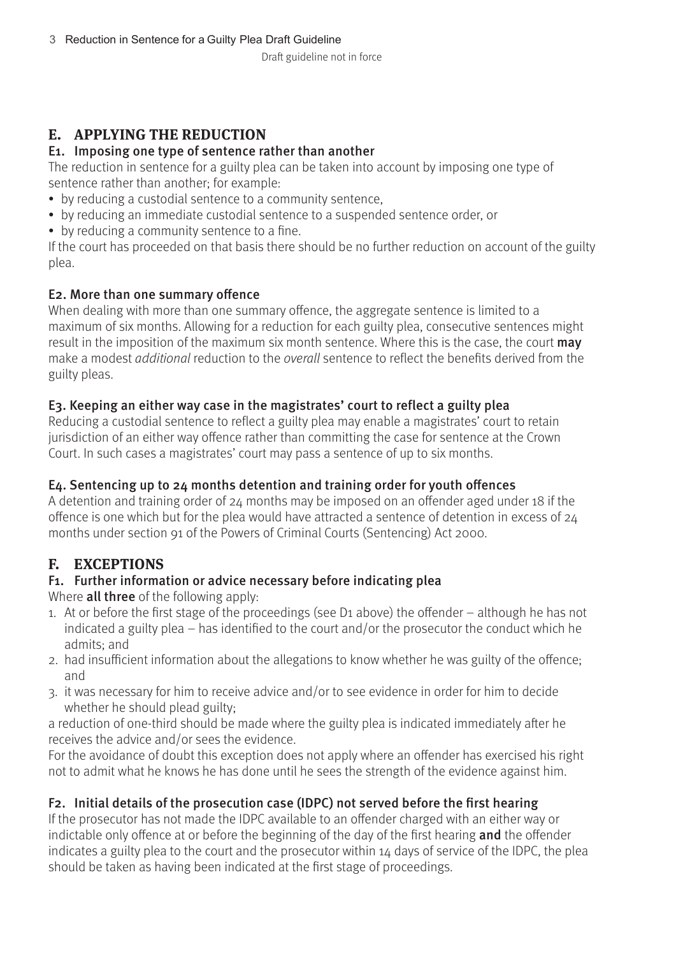## **E. APPLYING THE REDUCTION**

#### E1. Imposing one type of sentence rather than another

The reduction in sentence for a guilty plea can be taken into account by imposing one type of sentence rather than another; for example:

- by reducing a custodial sentence to a community sentence,
- by reducing an immediate custodial sentence to a suspended sentence order, or
- by reducing a community sentence to a fine.

If the court has proceeded on that basis there should be no further reduction on account of the guilty plea.

#### E2. More than one summary offence

When dealing with more than one summary offence, the aggregate sentence is limited to a maximum of six months. Allowing for a reduction for each guilty plea, consecutive sentences might result in the imposition of the maximum six month sentence. Where this is the case, the court **may** make a modest *additional* reduction to the *overall* sentence to reflect the benefits derived from the guilty pleas.

### E3. Keeping an either way case in the magistrates' court to reflect a guilty plea

Reducing a custodial sentence to reflect a guilty plea may enable a magistrates' court to retain jurisdiction of an either way offence rather than committing the case for sentence at the Crown Court. In such cases a magistrates' court may pass a sentence of up to six months.

#### E4. Sentencing up to 24 months detention and training order for youth offences

A detention and training order of 24 months may be imposed on an offender aged under 18 if the offence is one which but for the plea would have attracted a sentence of detention in excess of 24 months under section 91 of the Powers of Criminal Courts (Sentencing) Act 2000.

# **F. EXCEPTIONS**

## F1. Further information or advice necessary before indicating plea

Where **all three** of the following apply:

- 1. At or before the first stage of the proceedings (see D1 above) the offender although he has not indicated a guilty plea – has identified to the court and/or the prosecutor the conduct which he admits; and
- 2. had insufficient information about the allegations to know whether he was guilty of the offence; and
- 3. it was necessary for him to receive advice and/or to see evidence in order for him to decide whether he should plead guilty;

a reduction of one-third should be made where the guilty plea is indicated immediately after he receives the advice and/or sees the evidence.

For the avoidance of doubt this exception does not apply where an offender has exercised his right not to admit what he knows he has done until he sees the strength of the evidence against him.

## F2. Initial details of the prosecution case (IDPC) not served before the first hearing

If the prosecutor has not made the IDPC available to an offender charged with an either way or indictable only offence at or before the beginning of the day of the first hearing and the offender indicates a guilty plea to the court and the prosecutor within  $14$  days of service of the IDPC, the plea should be taken as having been indicated at the first stage of proceedings.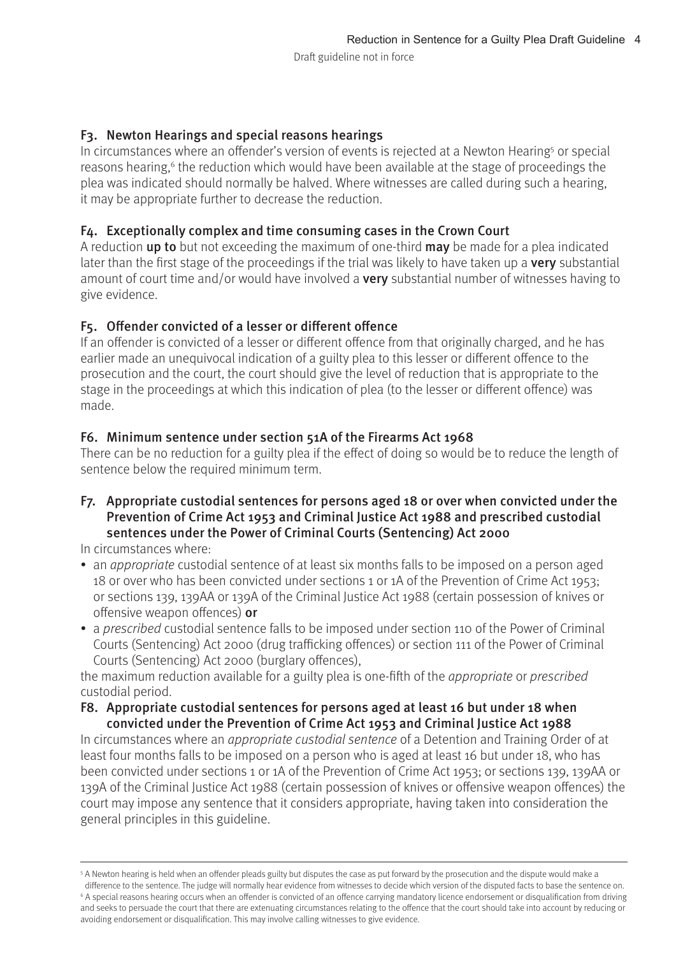#### F3. Newton Hearings and special reasons hearings

In circumstances where an offender's version of events is rejected at a Newton Hearing<sup>5</sup> or special reasons hearing,<sup>6</sup> the reduction which would have been available at the stage of proceedings the plea was indicated should normally be halved. Where witnesses are called during such a hearing, it may be appropriate further to decrease the reduction.

#### F4. Exceptionally complex and time consuming cases in the Crown Court

A reduction **up to** but not exceeding the maximum of one-third **may** be made for a plea indicated later than the first stage of the proceedings if the trial was likely to have taken up a very substantial amount of court time and/or would have involved a very substantial number of witnesses having to give evidence.

#### F5. Offender convicted of a lesser or different offence

If an offender is convicted of a lesser or different offence from that originally charged, and he has earlier made an unequivocal indication of a guilty plea to this lesser or different offence to the prosecution and the court, the court should give the level of reduction that is appropriate to the stage in the proceedings at which this indication of plea (to the lesser or different offence) was made.

#### F6. Minimum sentence under section 51A of the Firearms Act 1968

There can be no reduction for a guilty plea if the effect of doing so would be to reduce the length of sentence below the required minimum term.

#### F7. Appropriate custodial sentences for persons aged 18 or over when convicted under the Prevention of Crime Act 1953 and Criminal Justice Act 1988 and prescribed custodial sentences under the Power of Criminal Courts (Sentencing) Act 2000

In circumstances where:

- an *appropriate* custodial sentence of at least six months falls to be imposed on a person aged 18 or over who has been convicted under sections 1 or 1A of the Prevention of Crime Act 1953; or sections 139, 139AA or 139A of the Criminal Justice Act 1988 (certain possession of knives or offensive weapon offences) or
- a prescribed custodial sentence falls to be imposed under section 110 of the Power of Criminal Courts (Sentencing) Act 2000 (drug trafficking offences) or section 111 of the Power of Criminal Courts (Sentencing) Act 2000 (burglary offences),

the maximum reduction available for a guilty plea is one-fifth of the appropriate or prescribed custodial period.

#### F8. Appropriate custodial sentences for persons aged at least 16 but under 18 when convicted under the Prevention of Crime Act 1953 and Criminal Justice Act 1988

In circumstances where an appropriate custodial sentence of a Detention and Training Order of at least four months falls to be imposed on a person who is aged at least 16 but under 18, who has been convicted under sections 1 or 1A of the Prevention of Crime Act 1953; or sections 139, 139AA or 139A of the Criminal Justice Act 1988 (certain possession of knives or offensive weapon offences) the court may impose any sentence that it considers appropriate, having taken into consideration the general principles in this guideline.

avoiding endorsement or disqualification. This may involve calling witnesses to give evidence.

<sup>5</sup> A Newton hearing is held when an offender pleads guilty but disputes the case as put forward by the prosecution and the dispute would make a difference to the sentence. The judge will normally hear evidence from witnesses to decide which version of the disputed facts to base the sentence on. 6 A special reasons hearing occurs when an offender is convicted of an offence carrying mandatory licence endorsement or disqualification from driving and seeks to persuade the court that there are extenuating circumstances relating to the offence that the court should take into account by reducing or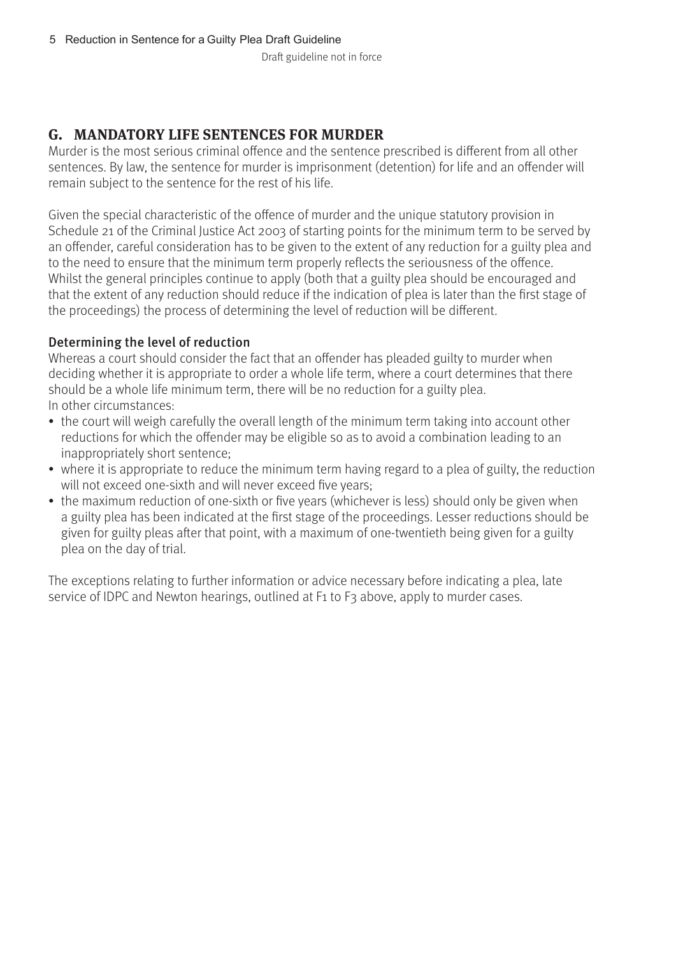### **G. MANDATORY LIFE SENTENCES FOR MURDER**

Murder is the most serious criminal offence and the sentence prescribed is different from all other sentences. By law, the sentence for murder is imprisonment (detention) for life and an offender will remain subject to the sentence for the rest of his life.

Given the special characteristic of the offence of murder and the unique statutory provision in Schedule 21 of the Criminal Justice Act 2003 of starting points for the minimum term to be served by an offender, careful consideration has to be given to the extent of any reduction for a guilty plea and to the need to ensure that the minimum term properly reflects the seriousness of the offence. Whilst the general principles continue to apply (both that a guilty plea should be encouraged and that the extent of any reduction should reduce if the indication of plea is later than the first stage of the proceedings) the process of determining the level of reduction will be different.

#### Determining the level of reduction

Whereas a court should consider the fact that an offender has pleaded guilty to murder when deciding whether it is appropriate to order a whole life term, where a court determines that there should be a whole life minimum term, there will be no reduction for a guilty plea.

In other circumstances:

- the court will weigh carefully the overall length of the minimum term taking into account other reductions for which the offender may be eligible so as to avoid a combination leading to an inappropriately short sentence;
- where it is appropriate to reduce the minimum term having regard to a plea of guilty, the reduction will not exceed one-sixth and will never exceed five years;
- the maximum reduction of one-sixth or five years (whichever is less) should only be given when a guilty plea has been indicated at the first stage of the proceedings. Lesser reductions should be given for guilty pleas after that point, with a maximum of one-twentieth being given for a guilty plea on the day of trial.

The exceptions relating to further information or advice necessary before indicating a plea, late service of IDPC and Newton hearings, outlined at F1 to F3 above, apply to murder cases.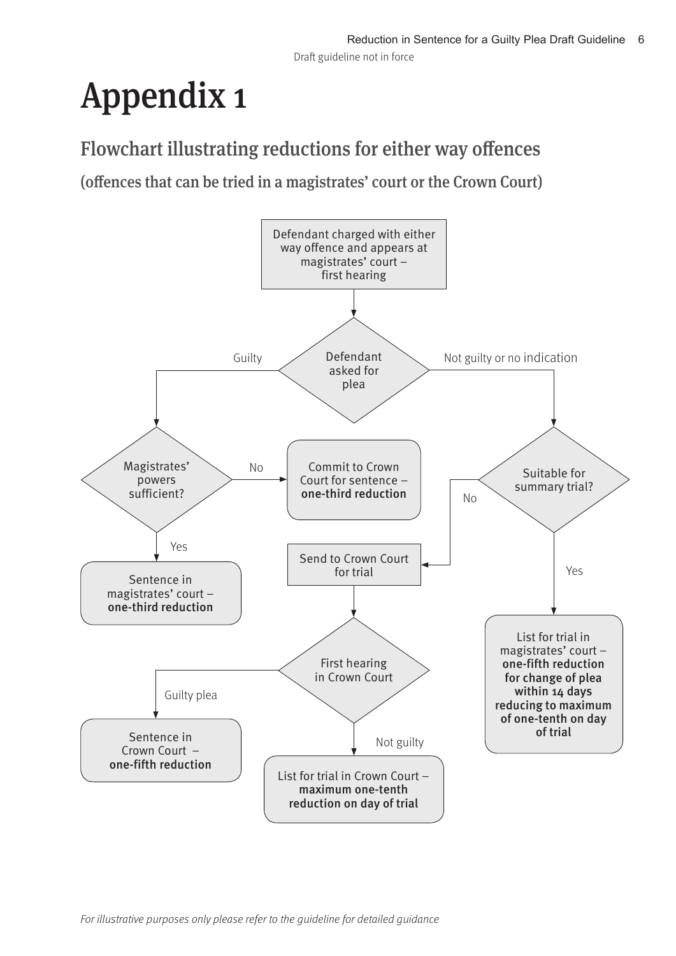# Appendix 1

# Flowchart illustrating reductions for either way offences

(offences that can be tried in a magistrates' court or the Crown Court)

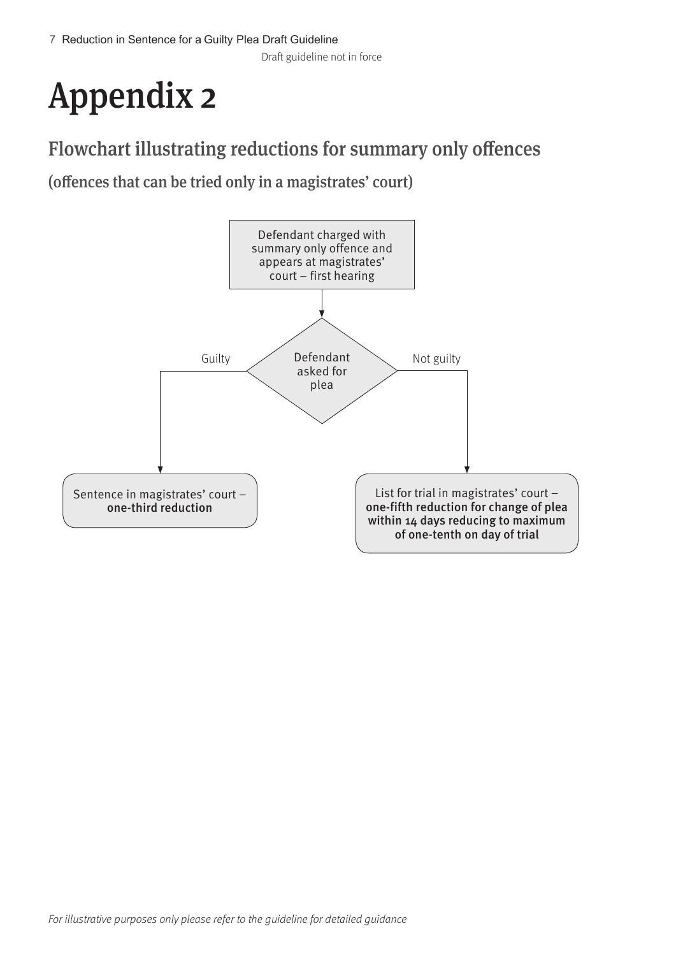7 Reduction in Sentence for a Guilty Plea Draft Guideline

Draft guideline not in force

# Appendix 2

# Flowchart illustrating reductions for summary only offences

(offences that can be tried only in a magistrates' court)

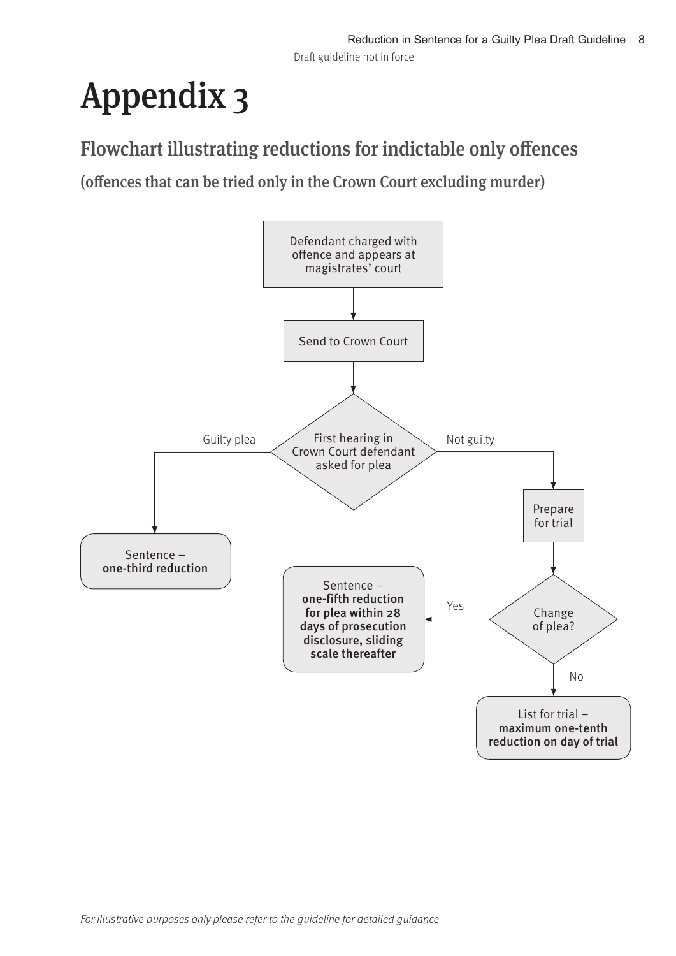# Appendix 3

Flowchart illustrating reductions for indictable only offences

(offences that can be tried only in the Crown Court excluding murder)

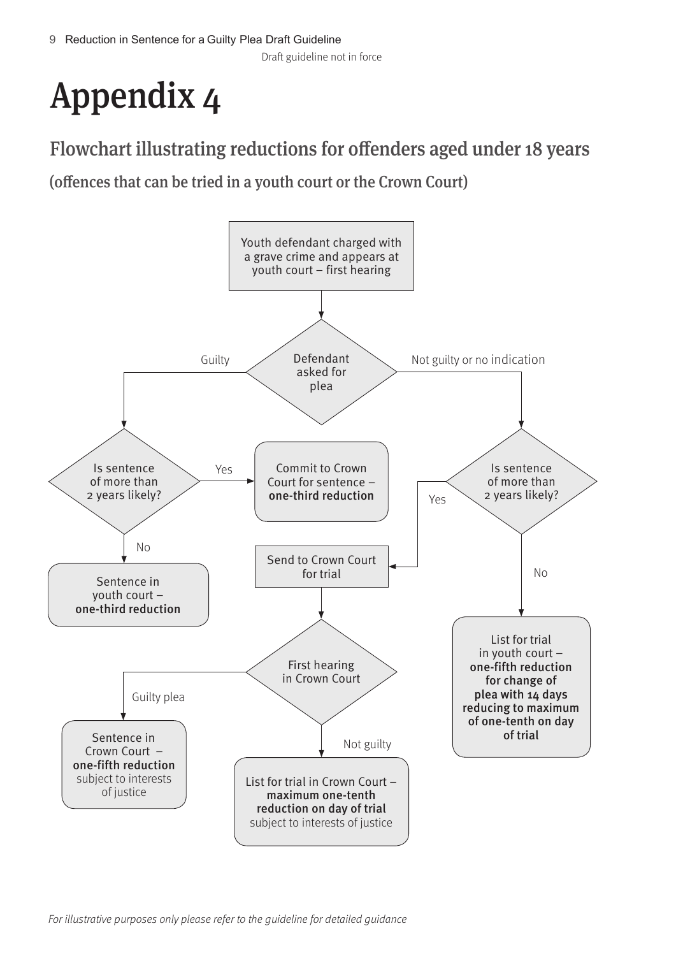# Appendix 4

Flowchart illustrating reductions for offenders aged under 18 years

(offences that can be tried in a youth court or the Crown Court)

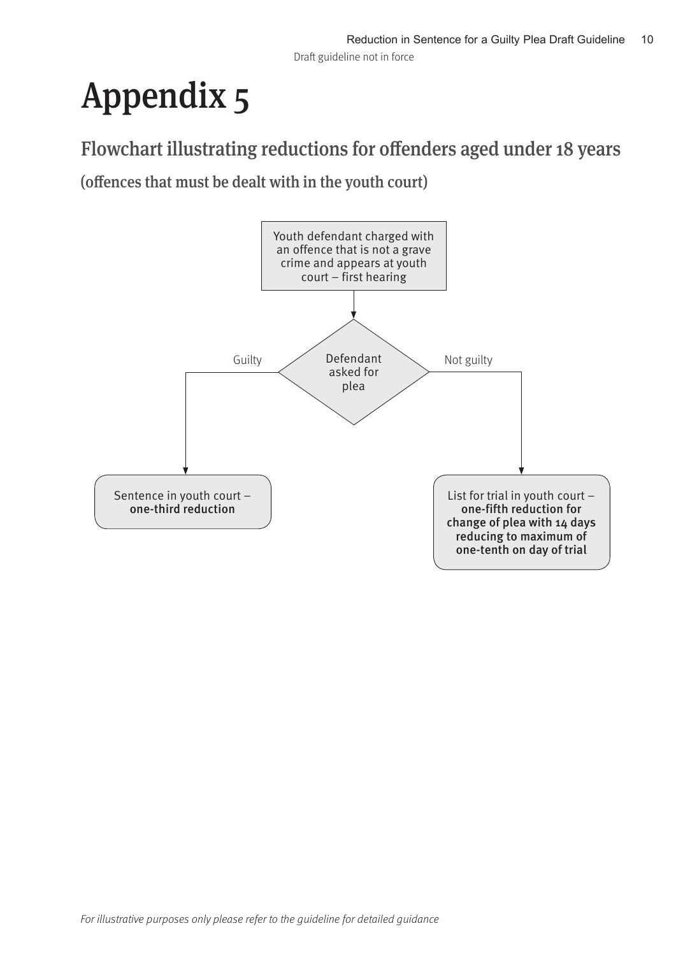# Appendix 5

Flowchart illustrating reductions for offenders aged under 18 years

(offences that must be dealt with in the youth court)